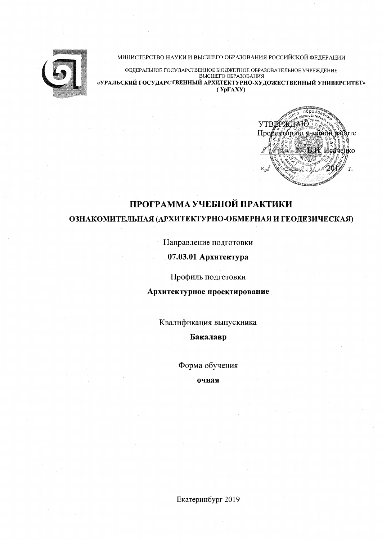

### МИНИСТЕРСТВО НАУКИ И ВЫСШЕГО ОБРАЗОВАНИЯ РОССИЙСКОЙ ФЕДЕРАЦИИ

ФЕДЕРАЛЬНОЕ ГОСУДАРСТВЕННОЕ БЮДЖЕТНОЕ ОБРАЗОВАТЕЛЬНОЕ УЧРЕЖДЕНИЕ ВЫСШЕГО ОБРАЗОВАНИЯ «УРАЛЬСКИЙ ГОСУДАРСТВЕННЫЙ АРХИТЕКТУРНО-ХУДОЖЕСТВЕННЫЙ УНИВЕРСИТЕТ»  $(Yp\Gamma A XY)$ 



# ПРОГРАММА УЧЕБНОЙ ПРАКТИКИ

# ОЗНАКОМИТЕЛЬНАЯ (АРХИТЕКТУРНО-ОБМЕРНАЯ И ГЕОДЕЗИЧЕСКАЯ)

Направление подготовки

# 07.03.01 Архитектура

Профиль подготовки

Архитектурное проектирование

Квалификация выпускника

Бакалавр

Форма обучения

очная

Екатеринбург 2019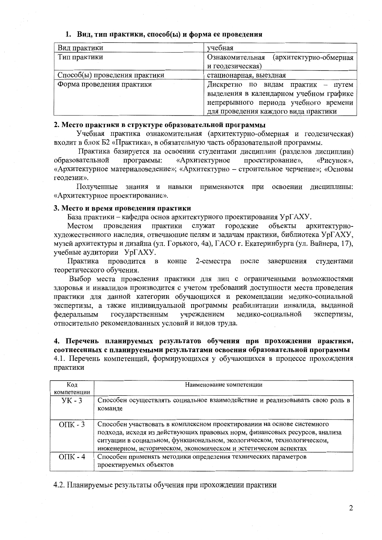### 1. Вид. тип практики, способ(ы) и форма ее проведения

| Вид практики                  | учебная                                   |
|-------------------------------|-------------------------------------------|
| Тип практики                  | Ознакомительная<br>(архитектурно-обмерная |
|                               | и геодезическая)                          |
| Способ(ы) проведения практики | стационарная, выездная                    |
| Форма проведения практики     | Дискретно по видам практик - путем        |
|                               | выделения в календарном учебном графике   |
|                               | непрерывного периода учебного времени     |
|                               | для проведения каждого вида практики      |

### 2. Место практики в структуре образовательной программы

Учебная практика ознакомительная (архитектурно-обмерная и геодезическая) входит в блок Б2 «Практика», в обязательную часть образовательной программы.

Практика базируется на освоении студентами дисциплин (разделов дисциплин) образовательной программы: «Архитектурное проектирование», «Рисунок». «Архитектурное материаловедение»; «Архитектурно - строительное черчение»; «Основы геодезии».

Полученные знания и навыки применяются при освоении дисциплины: «Архитектурное проектирование».

### 3. Место и время проведения практики

База практики - кафедра основ архитектурного проектирования УрГАХУ.

проведения практики служат городские объекты архитектурно-Местом художественного наследия, отвечающие целям и задачам практики, библиотека УрГАХУ, музей архитектуры и дизайна (ул. Горького, 4а), ГАСО г. Екатеринбурга (ул. Вайнера, 17), учебные аудитории УрГАХУ.

Практика проводится в конце 2-семестра после завершения студентами теоретического обучения.

Выбор места проведения практики для лиц с ограниченными возможностями здоровья и инвалидов производится с учетом требований доступности места проведения практики для данной категории обучающихся и рекомендации медико-социальной экспертизы, а также индивидуальной программы реабилитации инвалида, выданной государственным учреждением медико-социальной федеральным экспертизы, относительно рекомендованных условий и видов труда.

4. Перечень планируемых результатов обучения при прохождении практики, соотнесенных с планируемыми результатами освоения образовательной программы 4.1. Перечень компетенций, формирующихся у обучающихся в процессе прохождения практики

| Код (        | Наименование компетенции                                                                                                                                                                                                                                                                          |  |
|--------------|---------------------------------------------------------------------------------------------------------------------------------------------------------------------------------------------------------------------------------------------------------------------------------------------------|--|
| компетенции  |                                                                                                                                                                                                                                                                                                   |  |
| $YK - 3$     | Способен осуществлять социальное взаимодействие и реализовывать свою роль в<br>команде                                                                                                                                                                                                            |  |
| $OIIK - 3$   | Способен участвовать в комплексном проектировании на основе системного<br>подхода, исходя из действующих правовых норм, финансовых ресурсов, анализа<br>ситуации в социальном, функциональном, экологическом, технологическом,<br>инженерном, историческом, экономическом и эстетическом аспектах |  |
| $O\Pi K - 4$ | Способен применять методики определения технических параметров<br>проектируемых объектов                                                                                                                                                                                                          |  |

4.2. Планируемые результаты обучения при прохождении практики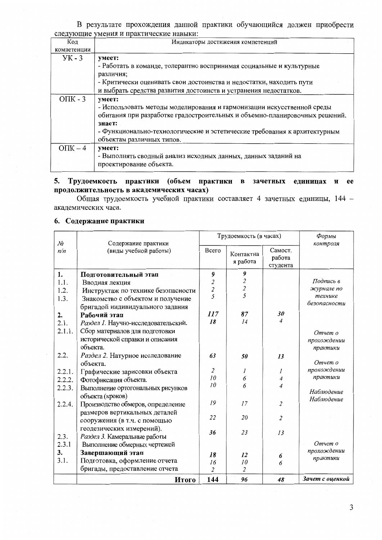В результате прохождения данной практики обучающийся должен приобрести следующие умения и практические навыки:

| Код          | Индикаторы достижения компетенций                                          |
|--------------|----------------------------------------------------------------------------|
| компетенции  |                                                                            |
| $YK - 3$     | умеет:                                                                     |
|              | - Работать в команде, толерантно воспринимая социальные и культурные       |
|              | различия;                                                                  |
|              | - Критически оценивать свои достоинства и недостатки, находить пути        |
|              | и выбрать средства развития достоинств и устранения недостатков.           |
| $O\Pi K - 3$ | умеет:                                                                     |
|              | - Использовать методы моделирования и гармонизации искусственной среды     |
|              | обитания при разработке градостроительных и объемно-планировочных решений. |
|              | знает:                                                                     |
|              | - Функционально-технологические и эстетические требования к архитектурным  |
|              | объектам различных типов.                                                  |
| $O\Pi K - 4$ | умеет:                                                                     |
|              | - Выполнять сводный анализ исходных данных, данных заданий на              |
|              | проектирование объекта.                                                    |

# 5. Трудоемкость практики (объем практики в зачетных единицах и ее продолжительность в академических часах)

Общая трудоемкость учебной практики составляет 4 зачетных единицы, 144 академических часа.

## 6. Содержание практики

|           |                                              | Трудоемкость (в часах)  |                         |                | Формы           |
|-----------|----------------------------------------------|-------------------------|-------------------------|----------------|-----------------|
| No<br>n/n | Содержание практики<br>(виды учебной работы) | Всего                   |                         | Самост.        | контроля        |
|           |                                              |                         | Контактна               | работа         |                 |
|           |                                              |                         | я работа                | студента       |                 |
| 1.        | Подготовительный этап                        | 9                       | 9                       |                |                 |
| 1.1.      | Вводная лекция                               | $\overline{\mathbf{c}}$ | $\overline{\mathbf{c}}$ |                | Подпись в       |
| 1.2.      | Инструктаж по технике безопасности           | $rac{2}{5}$             | $\overline{c}$          |                | журнале по      |
| 1.3.      | Знакомство с объектом и получение            |                         | 5                       |                | технике         |
|           | бригадой индивидуального задания             |                         |                         |                | безопасности    |
| 2.        | Рабочий этап                                 | 117                     | 87                      | 30             |                 |
| 2.1.      | Раздел 1. Научно-исследовательский.          | 18                      | 14                      | 4              |                 |
| 2.1.1.    | Сбор материалов для подготовки               |                         |                         |                | Отчет о         |
|           | исторической справки и описания              |                         |                         |                | прохождении     |
|           | объекта.                                     |                         |                         |                | практики        |
| 2.2.      | Раздел 2. Натурное исследование              | 63                      | 50                      | 13             |                 |
|           | объекта.                                     |                         |                         |                | Отчет о         |
| 2.2.1.    | Графические зарисовки объекта                | $\overline{2}$          | 1                       | 1              | прохождении     |
| 2.2.2.    | Фотофиксация объекта.                        | 10                      | 6                       | 4              | практики        |
| 2.2.3.    | Выполнение ортогональных рисунков            | 10                      | 6                       | 4              | Наблюдение      |
|           | объекта (кроков)                             |                         |                         |                | Наблюдение      |
| 2.2.4.    | Производство обмеров, определение            | 19                      | 17                      | $\overline{2}$ |                 |
|           | размеров вертикальных деталей                |                         |                         |                |                 |
|           | сооружения (в т.ч. с помощью                 | 22                      | 20                      | $\overline{2}$ |                 |
|           | геодезических измерений).                    |                         |                         |                |                 |
| 2.3.      | Раздел 3. Камеральные работы                 | 36                      | 23                      | 13             |                 |
| 2.3.1     | Выполнение обмерных чертежей                 |                         |                         |                | Отчет о         |
| 3.        | Завершающий этап                             | 18                      | 12                      |                | прохождении     |
| 3.1.      | Подготовка, оформление отчета                | 16                      | 10                      | 6<br>6         | практики        |
|           | бригады, предоставление отчета               | $\overline{\mathbf{c}}$ | $\overline{2}$          |                |                 |
|           | Итого                                        | 144                     | 96                      | 48             | Зачет с оценкой |

 $\mathfrak{Z}$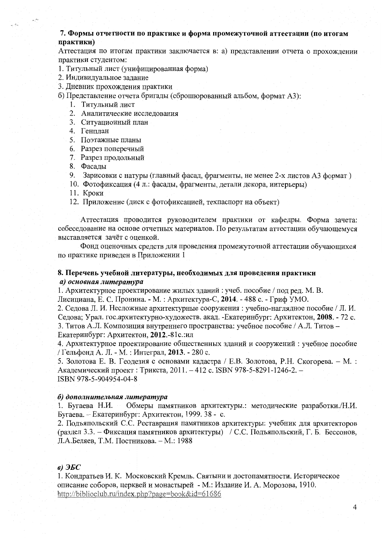## 7. Формы отчетности по практике и форма промежуточной аттестации (по итогам практики)

Аттестация по итогам практики заключается в: а) представлении отчета о прохождении практики студентом:

1. Титульный лист (унифицированная форма)

- 2. Индивидуальное задание
- 3. Дневник прохождения практики
- б) Представление отчета бригады (сброшюрованный альбом, формат А3):
	- 1. Титульный лист
	- 2. Аналитические исследования
	- 3. Ситуационный план
	- 4. Генплан
	- 5. Поэтажные планы
	- 6. Разрез поперечный
	- 7. Разрез продольный
	- 8. Фасады
	- 9. Зарисовки с натуры (главный фасад, фрагменты, не менее 2-х листов А3 формат)
	- 10. Фотофиксация (4 л.: фасады, фрагменты, детали декора, интерьеры)
	- 11. Кроки
	- 12. Приложение (диск с фотофиксацией, техпаспорт на объект)

Аттестация проводится руководителем практики от кафедры. Форма зачета: собеседование на основе отчетных материалов. По результатам аттестации обучающемуся выставляется зачёт с оценкой.

Фонд оценочных средств для проведения промежуточной аттестации обучающихся по практике приведен в Приложении 1

# 8. Перечень учебной литературы, необходимых для проведения практики а) основная литература

1. Архитектурное проектирование жилых зданий: учеб. пособие / под ред. М. В.

Лисициана, Е. С. Пронина. - М. : Архитектура-С, 2014. - 488 с. - Гриф УМО.

2. Седова Л. И. Несложные архитектурные сооружения : учебно-наглядное пособие / Л. И. Седова: Урал. гос.архитектурно-художеств. акад. - Екатеринбург: Архитектон. 2008. - 72 с. 3. Титов А.Л. Композиция внутреннего пространства: учебное пособие / А.Л. Титов -Екатеринбург: Архитектон, 2012.-81с.: ил

4. Архитектурное проектирование общественных зданий и сооружений: учебное пособие / Гельфонд А. Л. - М. : Интеграл, 2013. - 280 с.

5. Золотова Е. В. Геодезия с основами кадастра / Е.В. Золотова, Р.Н. Скогорева. - М.: Академический проект: Трикста, 2011. - 412 с. ISBN 978-5-8291-1246-2. -ISBN 978-5-904954-04-8

### б) дополнительная литература

Обмеры памятников архитектуры.: методические разработки./Н.И. 1. Бугаева Н.И. Бугаева. – Екатеринбург: Архитектон, 1999. 38 - с.

2. Подъяпольский С.С. Реставрация памятников архитектуры: учебник для архитекторов (раздел 3.3. – Фиксация памятников архитектуры) / С.С. Подъяпольский, Г. Б. Бессонов, Л.А.Беляев, Т.М. Постникова. - М.: 1988

# $\epsilon$ )  $\partial$ *SG*

1. Кондратьев И. К. Московский Кремль. Святыни и достопамятности. Историческое описание соборов, церквей и монастырей - М.: Издание И. А. Морозова, 1910. http://biblioclub.ru/index.php?page=book&id=61686

 $\overline{4}$